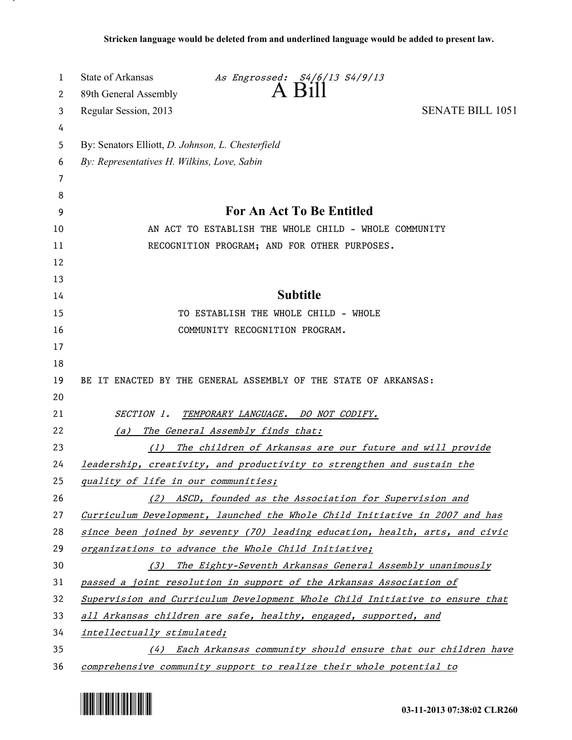| 1      | State of Arkansas<br>As Engrossed: S4/6/13 S4/9/13                           |
|--------|------------------------------------------------------------------------------|
| 2      | 89th General Assembly                                                        |
| 3      | Regular Session, 2013<br><b>SENATE BILL 1051</b>                             |
| 4      | By: Senators Elliott, D. Johnson, L. Chesterfield                            |
| 5<br>6 | By: Representatives H. Wilkins, Love, Sabin                                  |
| 7      |                                                                              |
| 8      |                                                                              |
| 9      | For An Act To Be Entitled                                                    |
| 10     | AN ACT TO ESTABLISH THE WHOLE CHILD - WHOLE COMMUNITY                        |
| 11     | RECOGNITION PROGRAM; AND FOR OTHER PURPOSES.                                 |
| 12     |                                                                              |
| 13     |                                                                              |
| 14     | <b>Subtitle</b>                                                              |
| 15     | TO ESTABLISH THE WHOLE CHILD - WHOLE                                         |
| 16     | COMMUNITY RECOGNITION PROGRAM.                                               |
| 17     |                                                                              |
| 18     |                                                                              |
| 19     | BE IT ENACTED BY THE GENERAL ASSEMBLY OF THE STATE OF ARKANSAS:              |
| 20     |                                                                              |
| 21     | <i>SECTION 1.</i><br>TEMPORARY LANGUAGE. DO NOT CODIFY.                      |
| 22     | The General Assembly finds that:<br>(a)                                      |
| 23     | The children of Arkansas are our future and will provide<br>(1)              |
| 24     | leadership, creativity, and productivity to strengthen and sustain the       |
| 25     | quality of life in our communities;                                          |
| 26     | (2) ASCD, founded as the Association for Supervision and                     |
| 27     | Curriculum Development, launched the Whole Child Initiative in 2007 and has  |
| 28     | since been joined by seventy (70) leading education, health, arts, and civic |
| 29     | organizations to advance the Whole Child Initiative;                         |
| 30     | The Eighty-Seventh Arkansas General Assembly unanimously<br>(3)              |
| 31     | passed a joint resolution in support of the Arkansas Association of          |
| 32     | Supervision and Curriculum Development Whole Child Initiative to ensure that |
| 33     | all Arkansas children are safe, healthy, engaged, supported, and             |
| 34     | intellectually stimulated;                                                   |
| 35     | (4) Each Arkansas community should ensure that our children have             |
| 36     | comprehensive community support to realize their whole potential to          |



.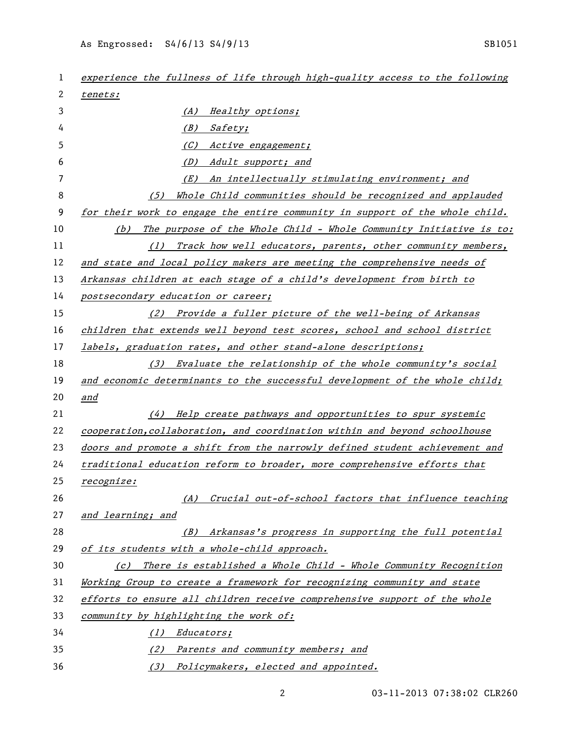As Engrossed: S4/6/13 S4/9/13 SB1051

| 1  | experience the fullness of life through high-quality access to the following          |
|----|---------------------------------------------------------------------------------------|
| 2  | tenets:                                                                               |
| 3  | Healthy options;<br>(A)                                                               |
| 4  | (B)<br>Safety;                                                                        |
| 5  | (C)<br>Active engagement;                                                             |
| 6  | (D)<br>Adult support; and                                                             |
| 7  | An intellectually stimulating environment; and<br>(E)                                 |
| 8  | Whole Child communities should be recognized and applauded<br>(5)                     |
| 9  | for their work to engage the entire community in support of the whole child.          |
| 10 | The purpose of the Whole Child - Whole Community Initiative is to:<br>(b)             |
| 11 | Track how well educators, parents, other community members,<br>(1)                    |
| 12 | and state and local policy makers are meeting the comprehensive needs of              |
| 13 | Arkansas children at each stage of a child's development from birth to                |
| 14 | postsecondary education or career;                                                    |
| 15 | (2) Provide a fuller picture of the well-being of Arkansas                            |
| 16 | children that extends well beyond test scores, school and school district             |
| 17 | labels, graduation rates, and other stand-alone descriptions;                         |
| 18 | (3) Evaluate the relationship of the whole community's social                         |
| 19 | and economic determinants to the successful development of the whole child;           |
| 20 | and                                                                                   |
| 21 | (4) Help create pathways and opportunities to spur systemic                           |
| 22 | cooperation, collaboration, and coordination within and beyond schoolhouse            |
| 23 | doors and promote a shift from the narrowly defined student achievement and           |
| 24 | traditional education reform to broader, more comprehensive efforts that              |
| 25 | recognize:                                                                            |
| 26 | Crucial out-of-school factors that influence teaching<br>(A)                          |
| 27 | and learning; and                                                                     |
| 28 | Arkansas's progress in supporting the full potential<br>(B)                           |
| 29 | of its students with a whole-child approach.                                          |
| 30 | There is established a Whole Child - Whole Community Recognition<br>$\left( c\right)$ |
| 31 | Working Group to create a framework for recognizing community and state               |
| 32 | efforts to ensure all children receive comprehensive support of the whole             |
| 33 | community by highlighting the work of:                                                |
| 34 | Educators;<br>(1)                                                                     |
| 35 | (2) Parents and community members; and                                                |
| 36 | (3) Policymakers, elected and appointed.                                              |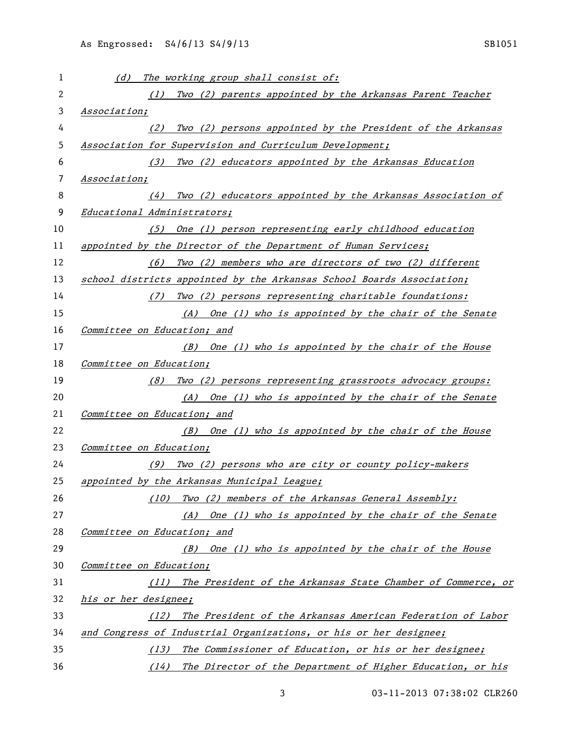| 1  | The working group shall consist of:<br>(d)                            |
|----|-----------------------------------------------------------------------|
| 2  | Two (2) parents appointed by the Arkansas Parent Teacher<br>(1)       |
| 3  | Association;                                                          |
| 4  | Two (2) persons appointed by the President of the Arkansas<br>(2)     |
| 5  | Association for Supervision and Curriculum Development;               |
| 6  | Two (2) educators appointed by the Arkansas Education<br>(3)          |
| 7  | Association;                                                          |
| 8  | Two (2) educators appointed by the Arkansas Association of<br>(4)     |
| 9  | Educational Administrators;                                           |
| 10 | (5) One (1) person representing early childhood education             |
| 11 | appointed by the Director of the Department of Human Services;        |
| 12 | Two (2) members who are directors of two (2) different<br>(6)         |
| 13 | school districts appointed by the Arkansas School Boards Association; |
| 14 | Two (2) persons representing charitable foundations:<br>(7)           |
| 15 | (A) One (1) who is appointed by the chair of the Senate               |
| 16 | Committee on Education; and                                           |
| 17 | (B) One (1) who is appointed by the chair of the House                |
| 18 | Committee on Education;                                               |
| 19 | Two (2) persons representing grassroots advocacy groups:<br>(8)       |
| 20 | (A) One (1) who is appointed by the chair of the Senate               |
| 21 | Committee on Education; and                                           |
| 22 | (B) One (1) who is appointed by the chair of the House                |
| 23 | Committee on Education;                                               |
| 24 | (9) Two (2) persons who are city or county policy-makers              |
| 25 | appointed by the Arkansas Municipal League;                           |
| 26 | Two (2) members of the Arkansas General Assembly:<br>(10)             |
| 27 | One (1) who is appointed by the chair of the Senate<br>(A)            |
| 28 | Committee on Education; and                                           |
| 29 | $(B)$ One (1) who is appointed by the chair of the House              |
| 30 | Committee on Education;                                               |
| 31 | The President of the Arkansas State Chamber of Commerce, or<br>(11)   |
| 32 | his or her designee;                                                  |
| 33 | The President of the Arkansas American Federation of Labor<br>(12)    |
| 34 | and Congress of Industrial Organizations, or his or her designee;     |
| 35 | The Commissioner of Education, or his or her designee;<br>(13)        |
| 36 | The Director of the Department of Higher Education, or his<br>(14)    |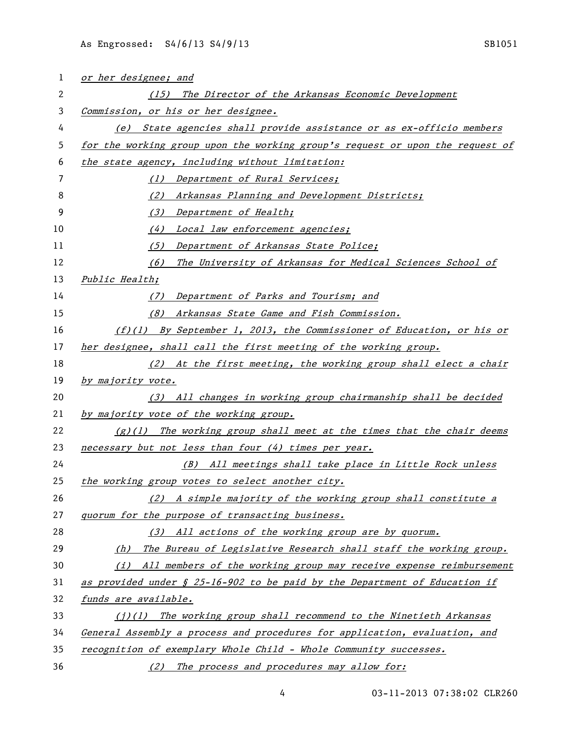| $\mathbf{1}$ | or her designee; and                                                             |
|--------------|----------------------------------------------------------------------------------|
| 2            | (15) The Director of the Arkansas Economic Development                           |
| 3            | Commission, or his or her designee.                                              |
| 4            | (e) State agencies shall provide assistance or as ex-officio members             |
| 5            | for the working group upon the working group's request or upon the request of    |
| 6            | the state agency, including without limitation:                                  |
| 7            | (1) Department of Rural Services;                                                |
| 8            | Arkansas Planning and Development Districts;<br>(2)                              |
| 9            | (3) Department of Health;                                                        |
| 10           | (4) Local law enforcement agencies;                                              |
| 11           | (5) Department of Arkansas State Police;                                         |
| 12           | The University of Arkansas for Medical Sciences School of<br>(6)                 |
| 13           | Public Health;                                                                   |
| 14           | Department of Parks and Tourism; and<br>(7)                                      |
| 15           | Arkansas State Game and Fish Commission.<br>(8)                                  |
| 16           | $(f)(1)$ By September 1, 2013, the Commissioner of Education, or his or          |
| 17           | her designee, shall call the first meeting of the working group.                 |
| 18           | (2) At the first meeting, the working group shall elect a chair                  |
| 19           | by majority vote.                                                                |
| 20           | (3) All changes in working group chairmanship shall be decided                   |
| 21           | by majority vote of the working group.                                           |
| 22           | (g)(1) The working group shall meet at the times that the chair deems            |
| 23           | necessary but not less than four (4) times per year.                             |
| 24           | (B) All meetings shall take place in Little Rock unless                          |
| 25           | the working group votes to select another city.                                  |
| 26           | (2) A simple majority of the working group shall constitute a                    |
| 27           | quorum for the purpose of transacting business.                                  |
| 28           | (3) All actions of the working group are by quorum.                              |
| 29           | The Bureau of Legislative Research shall staff the working group.<br>(h)         |
| 30           | (i) All members of the working group may receive expense reimbursement           |
| 31           | as provided under $\oint 25-16-902$ to be paid by the Department of Education if |
| 32           | funds are available.                                                             |
| 33           | (i)(1) The working group shall recommend to the Ninetieth Arkansas               |
| 34           | General Assembly a process and procedures for application, evaluation, and       |
| 35           | recognition of exemplary Whole Child - Whole Community successes.                |
| 36           | (2) The process and procedures may allow for:                                    |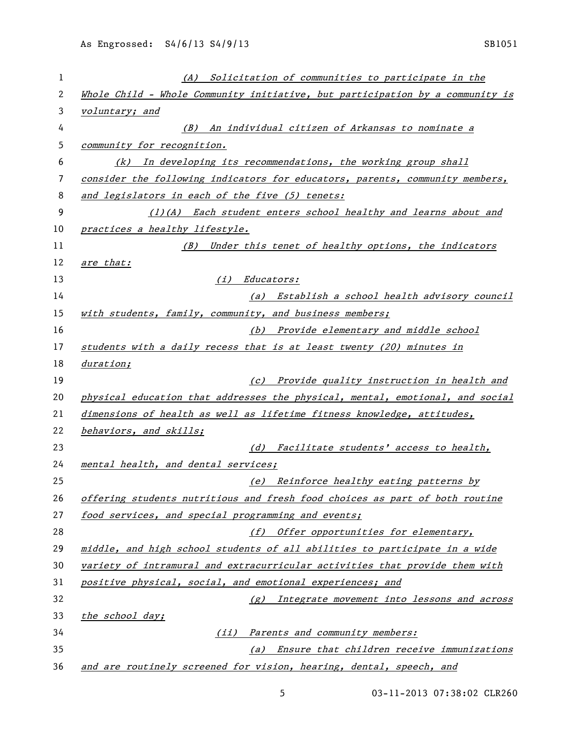| 1  | Solicitation of communities to participate in the<br>(A)                      |
|----|-------------------------------------------------------------------------------|
| 2  | Whole Child - Whole Community initiative, but participation by a community is |
| 3  | voluntary; and                                                                |
| 4  | (B) An individual citizen of Arkansas to nominate a                           |
| 5  | community for recognition.                                                    |
| 6  | In developing its recommendations, the working group shall<br>(k)             |
| 7  | consider the following indicators for educators, parents, community members,  |
| 8  | and legislators in each of the five (5) tenets:                               |
| 9  | (1)(A) Each student enters school healthy and learns about and                |
| 10 | practices a healthy lifestyle.                                                |
| 11 | (B) Under this tenet of healthy options, the indicators                       |
| 12 | are that:                                                                     |
| 13 | (i) Educators:                                                                |
| 14 | (a) Establish a school health advisory council                                |
| 15 | with students, family, community, and business members;                       |
| 16 | (b) Provide elementary and middle school                                      |
| 17 | students with a daily recess that is at least twenty (20) minutes in          |
| 18 | duration;                                                                     |
| 19 | (c) Provide quality instruction in health and                                 |
| 20 | physical education that addresses the physical, mental, emotional, and social |
| 21 | dimensions of health as well as lifetime fitness knowledge, attitudes,        |
| 22 | behaviors, and skills;                                                        |
| 23 | (d) Facilitate students' access to health,                                    |
| 24 | mental health, and dental services;                                           |
| 25 | (e) Reinforce healthy eating patterns by                                      |
| 26 | offering students nutritious and fresh food choices as part of both routine   |
| 27 | food services, and special programming and events;                            |
| 28 | (f) Offer opportunities for elementary,                                       |
| 29 | middle, and high school students of all abilities to participate in a wide    |
| 30 | variety of intramural and extracurricular activities that provide them with   |
| 31 | positive physical, social, and emotional experiences; and                     |
| 32 | (g) Integrate movement into lessons and across                                |
| 33 | the school day;                                                               |
| 34 | (ii) Parents and community members:                                           |
| 35 | Ensure that children receive immunizations<br>$\left( a\right)$               |
| 36 | and are routinely screened for vision, hearing, dental, speech, and           |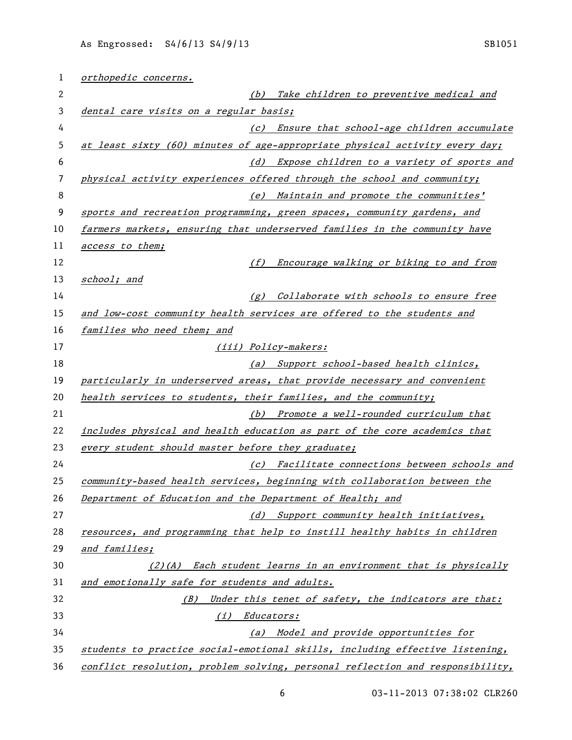| 1  | orthopedic concerns.                                                          |
|----|-------------------------------------------------------------------------------|
| 2  | Take children to preventive medical and<br>(b)                                |
| 3  | dental care visits on a regular basis;                                        |
| 4  | (c) Ensure that school-age children accumulate                                |
| 5  | at least sixty (60) minutes of age-appropriate physical activity every day;   |
| 6  | (d) Expose children to a variety of sports and                                |
| 7  | physical activity experiences offered through the school and community;       |
| 8  | (e) Maintain and promote the communities'                                     |
| 9  | sports and recreation programming, green spaces, community gardens, and       |
| 10 | farmers markets, ensuring that underserved families in the community have     |
| 11 | access to them;                                                               |
| 12 | (f)<br>Encourage walking or biking to and from                                |
| 13 | school; and                                                                   |
| 14 | (g) Collaborate with schools to ensure free                                   |
| 15 | and low-cost community health services are offered to the students and        |
| 16 | families who need them; and                                                   |
| 17 | (iii) Policy-makers:                                                          |
| 18 | (a) Support school-based health clinics,                                      |
| 19 | particularly in underserved areas, that provide necessary and convenient      |
| 20 | health services to students, their families, and the community;               |
| 21 | (b) Promote a well-rounded curriculum that                                    |
| 22 | includes physical and health education as part of the core academics that     |
| 23 | every student should master before they graduate;                             |
| 24 | (c) Facilitate connections between schools and                                |
| 25 | community-based health services, beginning with collaboration between the     |
| 26 | Department of Education and the Department of Health; and                     |
| 27 | (d) Support community health initiatives,                                     |
| 28 | resources, and programming that help to instill healthy habits in children    |
| 29 | and families;                                                                 |
| 30 | (2)(A) Each student learns in an environment that is physically               |
| 31 | and emotionally safe for students and adults.                                 |
| 32 | Under this tenet of safety, the indicators are that:<br>(B)                   |
| 33 | (i) Educators:                                                                |
| 34 | (a) Model and provide opportunities for                                       |
| 35 | students to practice social-emotional skills, including effective listening,  |
| 36 | conflict resolution, problem solving, personal reflection and responsibility, |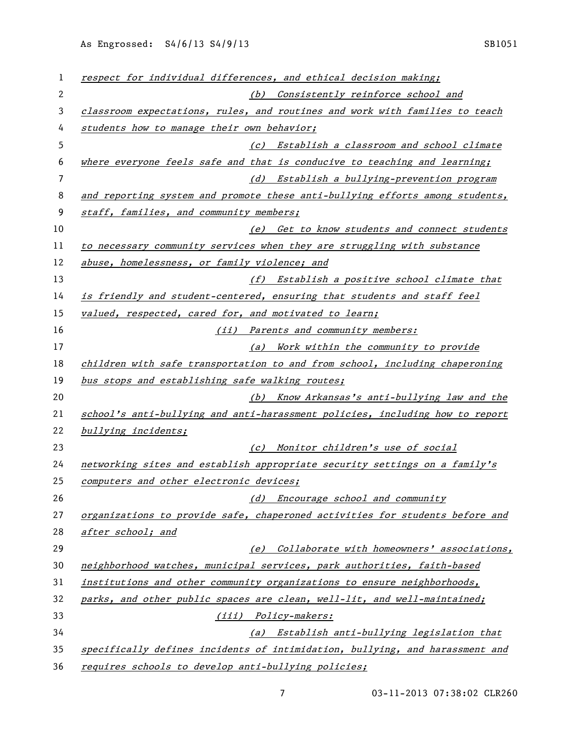As Engrossed: S4/6/13 S4/9/13 SB1051

| 1  | respect for individual differences, and ethical decision making;             |
|----|------------------------------------------------------------------------------|
| 2  | (b) Consistently reinforce school and                                        |
| 3  | classroom expectations, rules, and routines and work with families to teach  |
| 4  | students how to manage their own behavior;                                   |
| 5  | (c) Establish a classroom and school climate                                 |
| 6  | where everyone feels safe and that is conducive to teaching and learning;    |
| 7  | (d) Establish a bullying-prevention program                                  |
| 8  | and reporting system and promote these anti-bullying efforts among students, |
| 9  | staff, families, and community members;                                      |
| 10 | (e) Get to know students and connect students                                |
| 11 | to necessary community services when they are struggling with substance      |
| 12 | abuse, homelessness, or family violence; and                                 |
| 13 | (f) Establish a positive school climate that                                 |
| 14 | is friendly and student-centered, ensuring that students and staff feel      |
| 15 | valued, respected, cared for, and motivated to learn;                        |
| 16 | (ii) Parents and community members:                                          |
| 17 | (a) Work within the community to provide                                     |
| 18 | children with safe transportation to and from school, including chaperoning  |
| 19 | bus stops and establishing safe walking routes;                              |
| 20 | (b) Know Arkansas's anti-bullying law and the                                |
| 21 | school's anti-bullying and anti-harassment policies, including how to report |
| 22 | bullying incidents;                                                          |
| 23 | (c) Monitor children's use of social                                         |
| 24 | networking sites and establish appropriate security settings on a family's   |
| 25 | computers and other electronic devices;                                      |
| 26 | (d) Encourage school and community                                           |
| 27 | organizations to provide safe, chaperoned activities for students before and |
| 28 | after school; and                                                            |
| 29 | (e) Collaborate with homeowners' associations,                               |
| 30 | neighborhood watches, municipal services, park authorities, faith-based      |
| 31 | institutions and other community organizations to ensure neighborhoods,      |
| 32 | parks, and other public spaces are clean, well-lit, and well-maintained;     |
| 33 | (iii) Policy-makers:                                                         |
| 34 |                                                                              |
|    | (a) Establish anti-bullying legislation that                                 |
| 35 | specifically defines incidents of intimidation, bullying, and harassment and |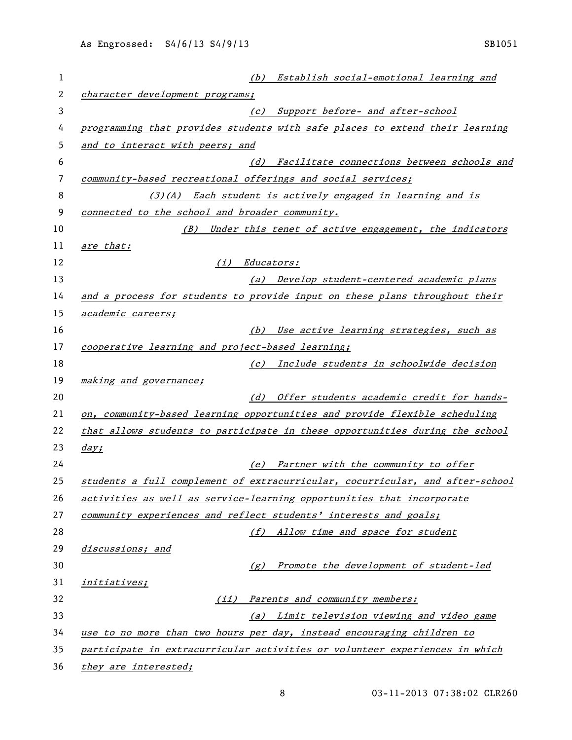| 1  | (b) Establish social-emotional learning and                                   |
|----|-------------------------------------------------------------------------------|
| 2  | character development programs;                                               |
| 3  | Support before- and after-school<br>(c)                                       |
| 4  | programming that provides students with safe places to extend their learning  |
| 5  | and to interact with peers; and                                               |
| 6  | Facilitate connections between schools and<br>(d)                             |
| 7  | community-based recreational offerings and social services;                   |
| 8  | (3)(A) Each student is actively engaged in learning and is                    |
| 9  | connected to the school and broader community.                                |
| 10 | (B)<br>Under this tenet of active engagement, the indicators                  |
| 11 | <u>are that:</u>                                                              |
| 12 | <i>Educators:</i><br>(i)                                                      |
| 13 | (a) Develop student-centered academic plans                                   |
| 14 | and a process for students to provide input on these plans throughout their   |
| 15 | academic careers;                                                             |
| 16 | (b) Use active learning strategies, such as                                   |
| 17 | cooperative learning and project-based learning;                              |
| 18 | (c) Include students in schoolwide decision                                   |
| 19 | making and governance;                                                        |
| 20 | (d) Offer students academic credit for hands-                                 |
| 21 | on, community-based learning opportunities and provide flexible scheduling    |
| 22 | that allows students to participate in these opportunities during the school  |
| 23 | day;                                                                          |
| 24 | (e) Partner with the community to offer                                       |
| 25 | students a full complement of extracurricular, cocurricular, and after-school |
| 26 | activities as well as service-learning opportunities that incorporate         |
| 27 | community experiences and reflect students' interests and goals;              |
| 28 | (f) Allow time and space for student                                          |
| 29 | discussions; and                                                              |
| 30 | (g) Promote the development of student-led                                    |
| 31 | initiatives;                                                                  |
| 32 | (ii) Parents and community members:                                           |
| 33 | (a) Limit television viewing and video game                                   |
| 34 | use to no more than two hours per day, instead encouraging children to        |
| 35 | participate in extracurricular activities or volunteer experiences in which   |
| 36 | they are interested;                                                          |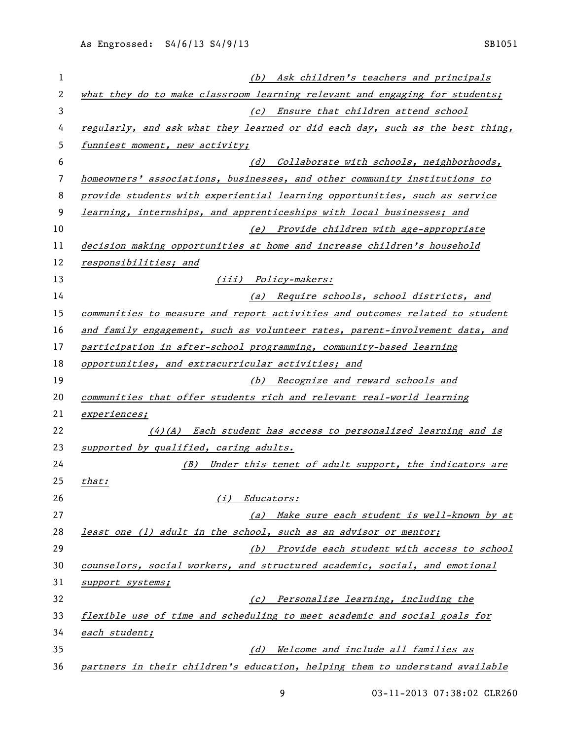| 1  | (b) Ask children's teachers and principals                                    |
|----|-------------------------------------------------------------------------------|
| 2  | what they do to make classroom learning relevant and engaging for students;   |
| 3  | (c) Ensure that children attend school                                        |
| 4  | regularly, and ask what they learned or did each day, such as the best thing, |
| 5  | funniest moment, new activity;                                                |
| 6  | (d) Collaborate with schools, neighborhoods,                                  |
| 7  | homeowners' associations, businesses, and other community institutions to     |
| 8  | provide students with experiential learning opportunities, such as service    |
| 9  | learning, internships, and apprenticeships with local businesses; and         |
| 10 | (e) Provide children with age-appropriate                                     |
| 11 | decision making opportunities at home and increase children's household       |
| 12 | responsibilities; and                                                         |
| 13 | (iii) Policy-makers:                                                          |
| 14 | (a) Require schools, school districts, and                                    |
| 15 | communities to measure and report activities and outcomes related to student  |
| 16 | and family engagement, such as volunteer rates, parent-involvement data, and  |
| 17 | participation in after-school programming, community-based learning           |
| 18 | opportunities, and extracurricular activities; and                            |
| 19 | (b) Recognize and reward schools and                                          |
| 20 | communities that offer students rich and relevant real-world learning         |
| 21 | experiences;                                                                  |
| 22 | $(4)$ (A) Each student has access to personalized learning and is             |
| 23 | supported by qualified, caring adults.                                        |
| 24 | (B) Under this tenet of adult support, the indicators are                     |
| 25 | that:                                                                         |
| 26 | <i>Educators:</i><br>(i)                                                      |
| 27 | (a) Make sure each student is well-known by at                                |
| 28 | least one (1) adult in the school, such as an advisor or mentor;              |
| 29 | (b) Provide each student with access to school                                |
| 30 | counselors, social workers, and structured academic, social, and emotional    |
| 31 | support systems;                                                              |
| 32 | (c) Personalize learning, including the                                       |
| 33 | flexible use of time and scheduling to meet academic and social goals for     |
|    |                                                                               |
| 34 | each student;                                                                 |
| 35 | Welcome and include all families as<br>(d)                                    |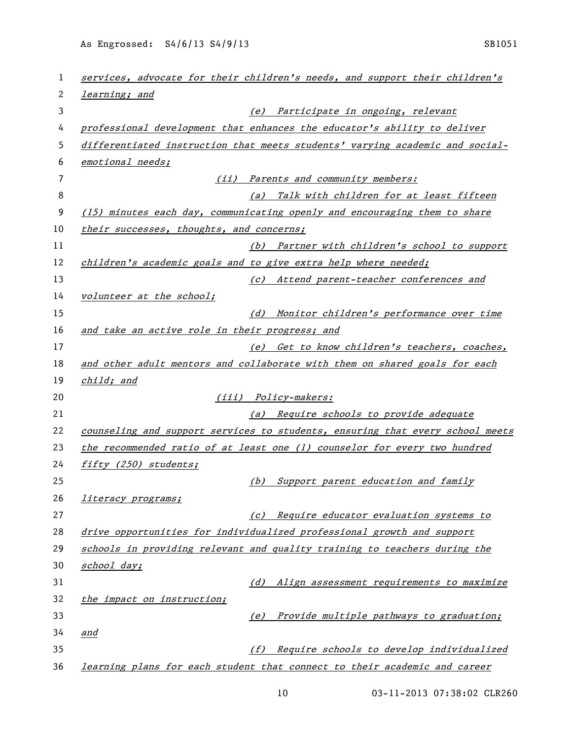As Engrossed: S4/6/13 S4/9/13 SB1051

| 1  | services, advocate for their children's needs, and support their children's   |
|----|-------------------------------------------------------------------------------|
| 2  | learning; and                                                                 |
| 3  | (e) Participate in ongoing, relevant                                          |
| 4  | professional development that enhances the educator's ability to deliver      |
| 5  | differentiated instruction that meets students' varying academic and social-  |
| 6  | emotional needs;                                                              |
| 7  | (ii) Parents and community members:                                           |
| 8  | (a) Talk with children for at least fifteen                                   |
| 9  | $(15)$ minutes each day, communicating openly and encouraging them to share   |
| 10 | their successes, thoughts, and concerns;                                      |
| 11 | (b) Partner with children's school to support                                 |
| 12 | children's academic goals and to give extra help where needed;                |
| 13 | (c) Attend parent-teacher conferences and                                     |
| 14 | volunteer at the school;                                                      |
| 15 | (d) Monitor children's performance over time                                  |
| 16 | and take an active role in their progress; and                                |
| 17 | (e) Get to know children's teachers, coaches,                                 |
| 18 | and other adult mentors and collaborate with them on shared goals for each    |
| 19 | child; and                                                                    |
| 20 | (iii) Policy-makers:                                                          |
| 21 | (a) Require schools to provide adequate                                       |
| 22 | counseling and support services to students, ensuring that every school meets |
| 23 | the recommended ratio of at least one (1) counselor for every two hundred     |
| 24 | fifty (250) students;                                                         |
| 25 | (b) Support parent education and family                                       |
| 26 | <i>literacy programs;</i>                                                     |
| 27 | (c) Require educator evaluation systems to                                    |
| 28 | drive opportunities for individualized professional growth and support        |
| 29 | schools in providing relevant and quality training to teachers during the     |
| 30 | school day;                                                                   |
| 31 | (d) Align assessment requirements to maximize                                 |
| 32 | the impact on instruction;                                                    |
| 33 | (e) Provide multiple pathways to graduation;                                  |
| 34 | and                                                                           |
| 35 | Require schools to develop individualized<br>(f)                              |
| 36 | learning plans for each student that connect to their academic and career     |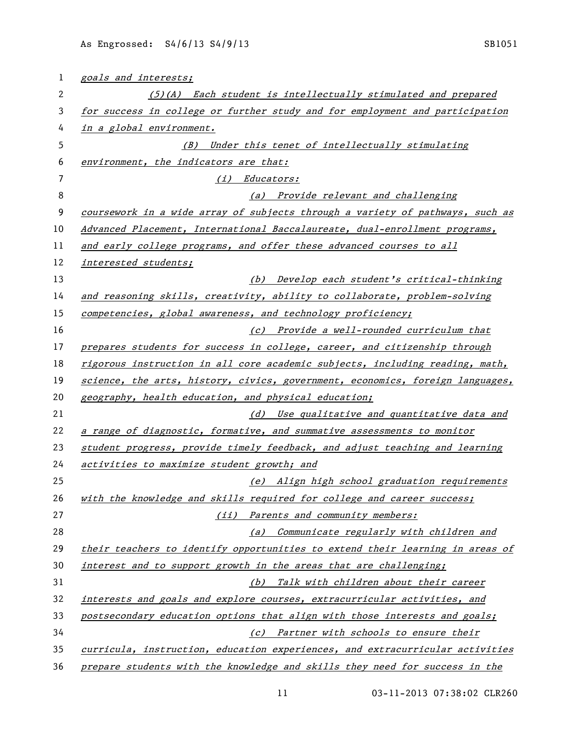| 1  | goals and interests;                                                          |
|----|-------------------------------------------------------------------------------|
| 2  | (5)(A) Each student is intellectually stimulated and prepared                 |
| 3  | for success in college or further study and for employment and participation  |
| 4  | in a global environment.                                                      |
| 5  | (B) Under this tenet of intellectually stimulating                            |
| 6  | environment, the indicators are that:                                         |
| 7  | (i) Educators:                                                                |
| 8  | (a) Provide relevant and challenging                                          |
| 9  | coursework in a wide array of subjects through a variety of pathways, such as |
| 10 | Advanced Placement, International Baccalaureate, dual-enrollment programs,    |
| 11 | and early college programs, and offer these advanced courses to all           |
| 12 | interested students;                                                          |
| 13 | (b) Develop each student's critical-thinking                                  |
| 14 | and reasoning skills, creativity, ability to collaborate, problem-solving     |
| 15 | competencies, global awareness, and technology proficiency;                   |
| 16 | (c) Provide a well-rounded curriculum that                                    |
| 17 | prepares students for success in college, career, and citizenship through     |
| 18 | rigorous instruction in all core academic subjects, including reading, math,  |
| 19 | science, the arts, history, civics, government, economics, foreign languages, |
| 20 | geography, health education, and physical education;                          |
| 21 | (d) Use qualitative and quantitative data and                                 |
| 22 | a range of diagnostic, formative, and summative assessments to monitor        |
| 23 | student progress, provide timely feedback, and adjust teaching and learning   |
| 24 | activities to maximize student growth; and                                    |
| 25 | (e) Align high school graduation requirements                                 |
| 26 | with the knowledge and skills required for college and career success;        |
| 27 | (ii) Parents and community members:                                           |
| 28 | (a) Communicate regularly with children and                                   |
| 29 | their teachers to identify opportunities to extend their learning in areas of |
| 30 | interest and to support growth in the areas that are challenging;             |
| 31 | (b) Talk with children about their career                                     |
| 32 | interests and goals and explore courses, extracurricular activities, and      |
| 33 | postsecondary education options that align with those interests and goals;    |
| 34 | (c) Partner with schools to ensure their                                      |
| 35 | curricula, instruction, education experiences, and extracurricular activities |
| 36 | prepare students with the knowledge and skills they need for success in the   |